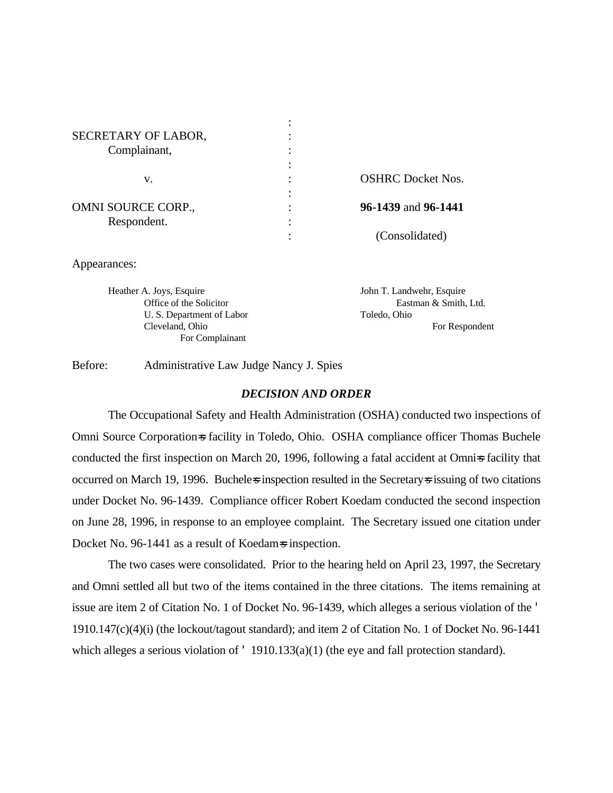| SECRETARY OF LABOR, |                          |
|---------------------|--------------------------|
| Complainant,        |                          |
|                     |                          |
| v.                  | <b>OSHRC</b> Docket Nos. |
|                     |                          |
| OMNI SOURCE CORP.,  | 96-1439 and 96-1441      |
| Respondent.         |                          |
|                     | (Consolidated)           |

Appearances:

Heather A. Joys, Esquire John T. Landwehr, Esquire Office of the Solicitor Eastman & Smith, Ltd. U. S. Department of Labor Toledo, Ohio Cleveland, Ohio For Respondent For Complainant

Before: Administrative Law Judge Nancy J. Spies

### *DECISION AND ORDER*

The Occupational Safety and Health Administration (OSHA) conducted two inspections of Omni Source Corporation=s facility in Toledo, Ohio. OSHA compliance officer Thomas Buchele conducted the first inspection on March 20, 1996, following a fatal accident at Omni=s facility that occurred on March 19, 1996. Bucheless inspection resulted in the Secretarys issuing of two citations under Docket No. 96-1439. Compliance officer Robert Koedam conducted the second inspection on June 28, 1996, in response to an employee complaint. The Secretary issued one citation under Docket No. 96-1441 as a result of Koedam=s inspection.

The two cases were consolidated. Prior to the hearing held on April 23, 1997, the Secretary and Omni settled all but two of the items contained in the three citations. The items remaining at issue are item 2 of Citation No. 1 of Docket No. 96-1439, which alleges a serious violation of the ' 1910.147(c)(4)(i) (the lockout/tagout standard); and item 2 of Citation No. 1 of Docket No. 96-1441 which alleges a serious violation of ' 1910.133(a)(1) (the eye and fall protection standard).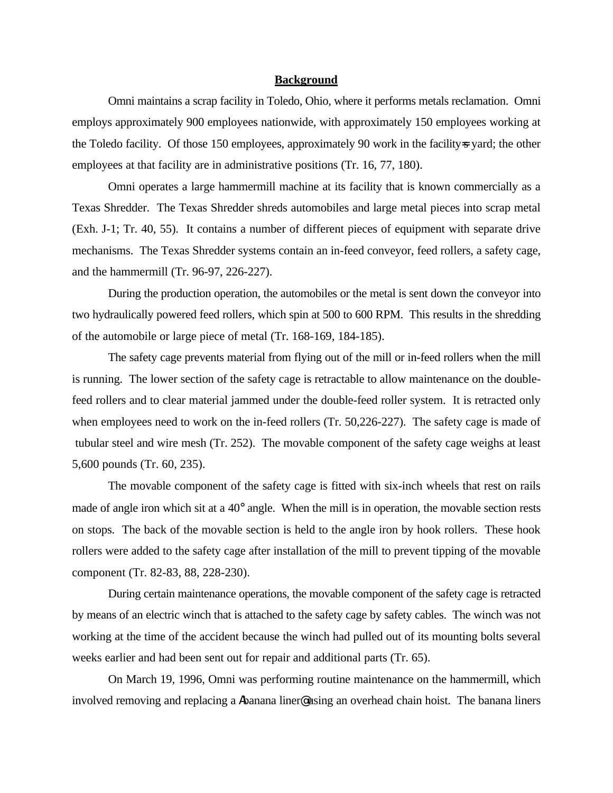#### **Background**

Omni maintains a scrap facility in Toledo, Ohio, where it performs metals reclamation. Omni employs approximately 900 employees nationwide, with approximately 150 employees working at the Toledo facility. Of those 150 employees, approximately 90 work in the facility-s yard; the other employees at that facility are in administrative positions (Tr. 16, 77, 180).

Omni operates a large hammermill machine at its facility that is known commercially as a Texas Shredder. The Texas Shredder shreds automobiles and large metal pieces into scrap metal (Exh. J-1; Tr. 40, 55). It contains a number of different pieces of equipment with separate drive mechanisms. The Texas Shredder systems contain an in-feed conveyor, feed rollers, a safety cage, and the hammermill (Tr. 96-97, 226-227).

During the production operation, the automobiles or the metal is sent down the conveyor into two hydraulically powered feed rollers, which spin at 500 to 600 RPM. This results in the shredding of the automobile or large piece of metal (Tr. 168-169, 184-185).

The safety cage prevents material from flying out of the mill or in-feed rollers when the mill is running. The lower section of the safety cage is retractable to allow maintenance on the doublefeed rollers and to clear material jammed under the double-feed roller system. It is retracted only when employees need to work on the in-feed rollers (Tr. 50,226-227). The safety cage is made of tubular steel and wire mesh (Tr. 252). The movable component of the safety cage weighs at least 5,600 pounds (Tr. 60, 235).

The movable component of the safety cage is fitted with six-inch wheels that rest on rails made of angle iron which sit at a 40° angle. When the mill is in operation, the movable section rests on stops. The back of the movable section is held to the angle iron by hook rollers. These hook rollers were added to the safety cage after installation of the mill to prevent tipping of the movable component (Tr. 82-83, 88, 228-230).

During certain maintenance operations, the movable component of the safety cage is retracted by means of an electric winch that is attached to the safety cage by safety cables. The winch was not working at the time of the accident because the winch had pulled out of its mounting bolts several weeks earlier and had been sent out for repair and additional parts (Tr. 65).

On March 19, 1996, Omni was performing routine maintenance on the hammermill, which involved removing and replacing a Abanana liner@using an overhead chain hoist. The banana liners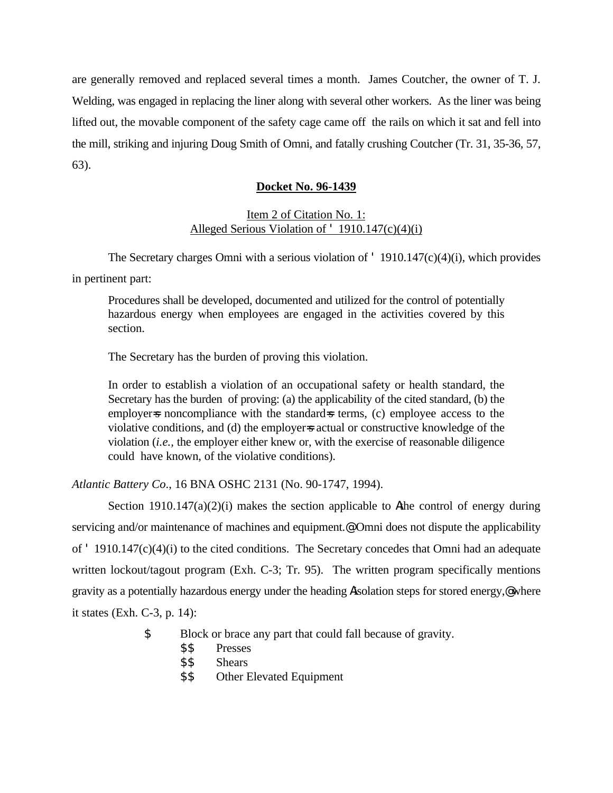are generally removed and replaced several times a month. James Coutcher, the owner of T. J. Welding, was engaged in replacing the liner along with several other workers. As the liner was being lifted out, the movable component of the safety cage came off the rails on which it sat and fell into the mill, striking and injuring Doug Smith of Omni, and fatally crushing Coutcher (Tr. 31, 35-36, 57, 63).

# **Docket No. 96-1439**

# Item 2 of Citation No. 1: Alleged Serious Violation of ' 1910.147(c)(4)(i)

The Secretary charges Omni with a serious violation of ' 1910.147(c)(4)(i), which provides in pertinent part:

Procedures shall be developed, documented and utilized for the control of potentially hazardous energy when employees are engaged in the activities covered by this section.

The Secretary has the burden of proving this violation.

In order to establish a violation of an occupational safety or health standard, the Secretary has the burden of proving: (a) the applicability of the cited standard, (b) the employer is noncompliance with the standard is terms, (c) employee access to the violative conditions, and (d) the employers actual or constructive knowledge of the violation (*i.e.,* the employer either knew or, with the exercise of reasonable diligence could have known, of the violative conditions).

*Atlantic Battery Co*., 16 BNA OSHC 2131 (No. 90-1747, 1994).

Section  $1910.147(a)(2)(i)$  makes the section applicable to Athe control of energy during servicing and/or maintenance of machines and equipment.<sup>@</sup> Omni does not dispute the applicability of ' 1910.147(c)(4)(i) to the cited conditions. The Secretary concedes that Omni had an adequate written lockout/tagout program (Exh. C-3; Tr. 95). The written program specifically mentions gravity as a potentially hazardous energy under the heading Aisolation steps for stored energy,@ where it states (Exh. C-3, p. 14):

- \$ Block or brace any part that could fall because of gravity.
	- \$\$ Presses
	- \$\$ Shears
	- \$\$ Other Elevated Equipment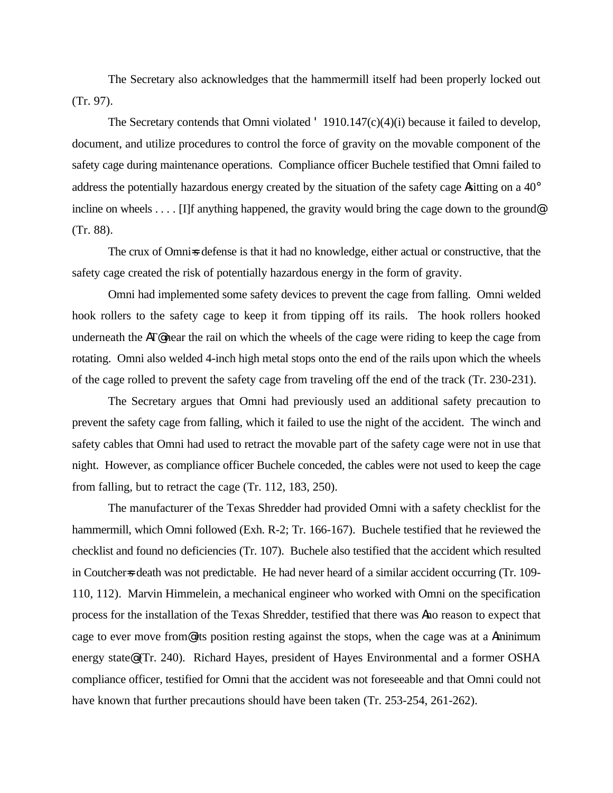The Secretary also acknowledges that the hammermill itself had been properly locked out (Tr. 97).

The Secretary contends that Omni violated  $\cdot$  1910.147(c)(4)(i) because it failed to develop, document, and utilize procedures to control the force of gravity on the movable component of the safety cage during maintenance operations. Compliance officer Buchele testified that Omni failed to address the potentially hazardous energy created by the situation of the safety cage Asitting on a 40° incline on wheels . . . . [I]f anything happened, the gravity would bring the cage down to the ground (Tr. 88).

The crux of Omni=s defense is that it had no knowledge, either actual or constructive, that the safety cage created the risk of potentially hazardous energy in the form of gravity.

Omni had implemented some safety devices to prevent the cage from falling. Omni welded hook rollers to the safety cage to keep it from tipping off its rails. The hook rollers hooked underneath the AT@ near the rail on which the wheels of the cage were riding to keep the cage from rotating. Omni also welded 4-inch high metal stops onto the end of the rails upon which the wheels of the cage rolled to prevent the safety cage from traveling off the end of the track (Tr. 230-231).

The Secretary argues that Omni had previously used an additional safety precaution to prevent the safety cage from falling, which it failed to use the night of the accident. The winch and safety cables that Omni had used to retract the movable part of the safety cage were not in use that night. However, as compliance officer Buchele conceded, the cables were not used to keep the cage from falling, but to retract the cage (Tr. 112, 183, 250).

The manufacturer of the Texas Shredder had provided Omni with a safety checklist for the hammermill, which Omni followed (Exh. R-2; Tr. 166-167). Buchele testified that he reviewed the checklist and found no deficiencies (Tr. 107). Buchele also testified that the accident which resulted in Coutcher=s death was not predictable. He had never heard of a similar accident occurring (Tr. 109-110, 112). Marvin Himmelein, a mechanical engineer who worked with Omni on the specification process for the installation of the Texas Shredder, testified that there was Ano reason to expect that cage to ever move from@ its position resting against the stops, when the cage was at a Aminimum energy state@ (Tr. 240). Richard Hayes, president of Hayes Environmental and a former OSHA compliance officer, testified for Omni that the accident was not foreseeable and that Omni could not have known that further precautions should have been taken (Tr. 253-254, 261-262).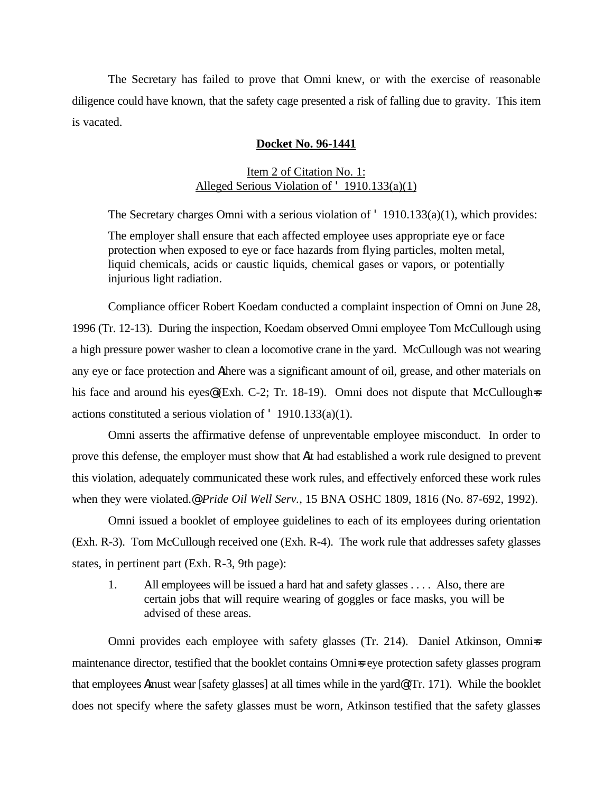The Secretary has failed to prove that Omni knew, or with the exercise of reasonable diligence could have known, that the safety cage presented a risk of falling due to gravity. This item is vacated.

### **Docket No. 96-1441**

# Item 2 of Citation No. 1: Alleged Serious Violation of ' 1910.133(a)(1)

The Secretary charges Omni with a serious violation of ' 1910.133(a)(1), which provides:

The employer shall ensure that each affected employee uses appropriate eye or face protection when exposed to eye or face hazards from flying particles, molten metal, liquid chemicals, acids or caustic liquids, chemical gases or vapors, or potentially injurious light radiation.

Compliance officer Robert Koedam conducted a complaint inspection of Omni on June 28, 1996 (Tr. 12-13). During the inspection, Koedam observed Omni employee Tom McCullough using a high pressure power washer to clean a locomotive crane in the yard. McCullough was not wearing any eye or face protection and Athere was a significant amount of oil, grease, and other materials on his face and around his eyes@ (Exh. C-2; Tr. 18-19). Omni does not dispute that McCullough=s actions constituted a serious violation of ' 1910.133(a)(1).

Omni asserts the affirmative defense of unpreventable employee misconduct. In order to prove this defense, the employer must show that Ait had established a work rule designed to prevent this violation, adequately communicated these work rules, and effectively enforced these work rules when they were violated.@ *Pride Oil Well Serv.*, 15 BNA OSHC 1809, 1816 (No. 87-692, 1992).

Omni issued a booklet of employee guidelines to each of its employees during orientation (Exh. R-3). Tom McCullough received one (Exh. R-4). The work rule that addresses safety glasses states, in pertinent part (Exh. R-3, 9th page):

1. All employees will be issued a hard hat and safety glasses . . . . Also, there are certain jobs that will require wearing of goggles or face masks, you will be advised of these areas.

Omni provides each employee with safety glasses (Tr. 214). Daniel Atkinson, Omni=s maintenance director, testified that the booklet contains Omni=s eye protection safety glasses program that employees Amust wear [safety glasses] at all times while in the yard@ (Tr. 171). While the booklet does not specify where the safety glasses must be worn, Atkinson testified that the safety glasses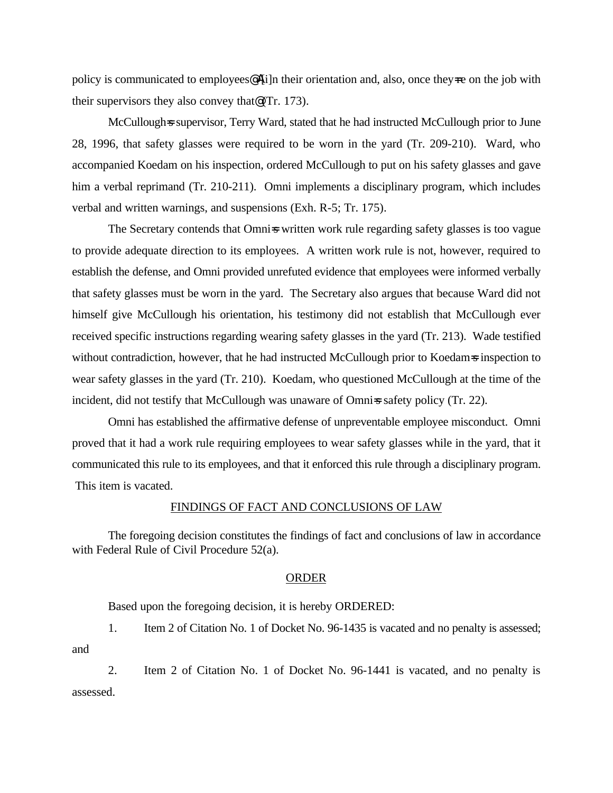policy is communicated to employees  $\mathbb{A}[i]$ n their orientation and, also, once they $\neq$  on the job with their supervisors they also convey that@ (Tr. 173).

McCullough=s supervisor, Terry Ward, stated that he had instructed McCullough prior to June 28, 1996, that safety glasses were required to be worn in the yard (Tr. 209-210). Ward, who accompanied Koedam on his inspection, ordered McCullough to put on his safety glasses and gave him a verbal reprimand (Tr. 210-211). Omni implements a disciplinary program, which includes verbal and written warnings, and suspensions (Exh. R-5; Tr. 175).

The Secretary contends that Omnis written work rule regarding safety glasses is too vague to provide adequate direction to its employees. A written work rule is not, however, required to establish the defense, and Omni provided unrefuted evidence that employees were informed verbally that safety glasses must be worn in the yard. The Secretary also argues that because Ward did not himself give McCullough his orientation, his testimony did not establish that McCullough ever received specific instructions regarding wearing safety glasses in the yard (Tr. 213). Wade testified without contradiction, however, that he had instructed McCullough prior to Koedam=s inspection to wear safety glasses in the yard (Tr. 210). Koedam, who questioned McCullough at the time of the incident, did not testify that McCullough was unaware of Omniss safety policy (Tr. 22).

Omni has established the affirmative defense of unpreventable employee misconduct. Omni proved that it had a work rule requiring employees to wear safety glasses while in the yard, that it communicated this rule to its employees, and that it enforced this rule through a disciplinary program. This item is vacated.

#### FINDINGS OF FACT AND CONCLUSIONS OF LAW

The foregoing decision constitutes the findings of fact and conclusions of law in accordance with Federal Rule of Civil Procedure 52(a).

### ORDER

Based upon the foregoing decision, it is hereby ORDERED:

1. Item 2 of Citation No. 1 of Docket No. 96-1435 is vacated and no penalty is assessed; and

2. Item 2 of Citation No. 1 of Docket No. 96-1441 is vacated, and no penalty is assessed.